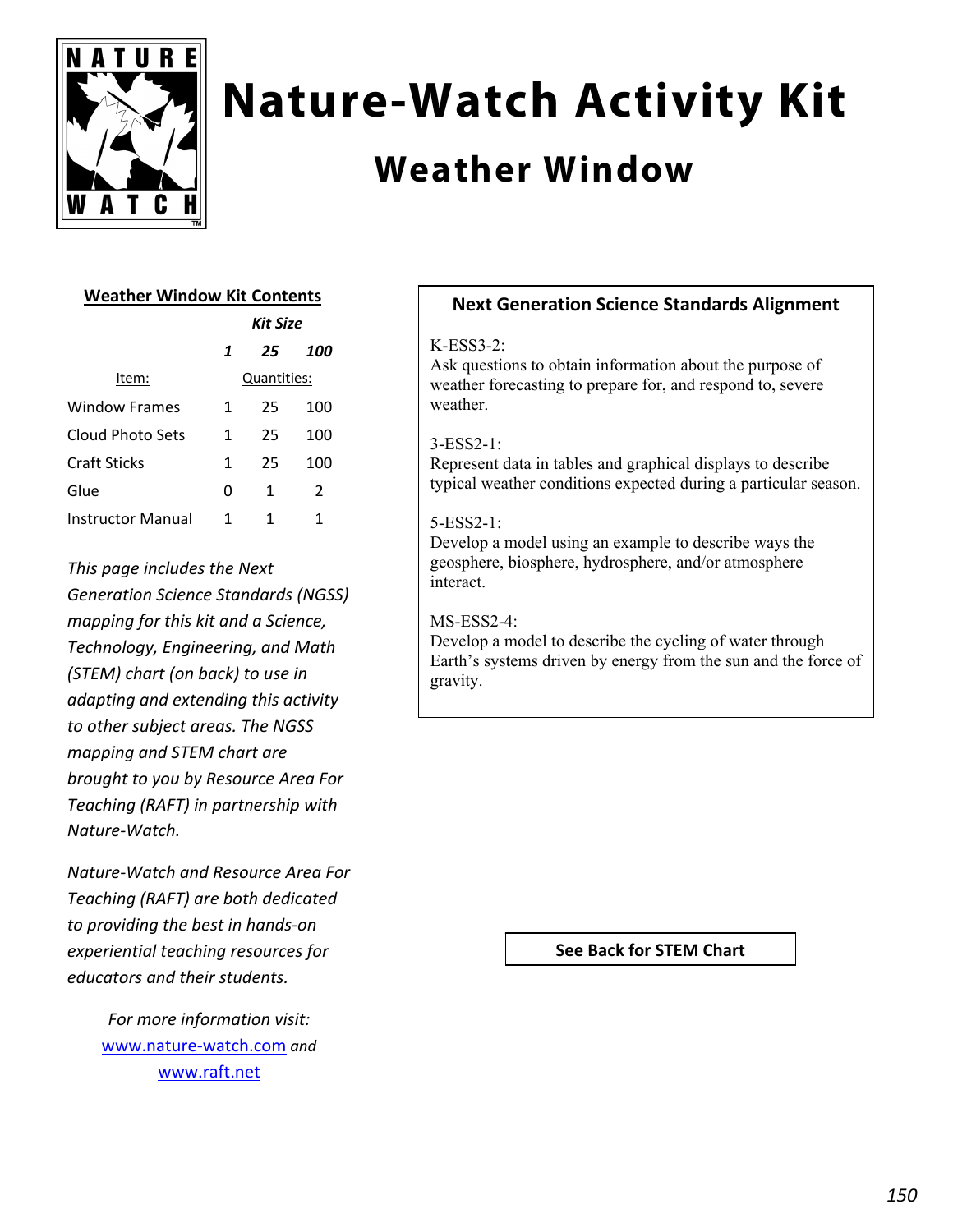

# **Nature-Watch Activity Kit**

## **Weather Window**

#### **Weather Window Kit Contents**

|                   | Kit Size |             |     |
|-------------------|----------|-------------|-----|
|                   | 1        | 25          | 100 |
| Item:             |          | Quantities: |     |
| Window Frames     | 1        | 25          | 100 |
| Cloud Photo Sets  | 1        | 25          | 100 |
| Craft Sticks      | 1        | 25          | 100 |
| Glue              | 0        | 1           | 2   |
| Instructor Manual | 1        | 1           | 1   |

*This page includes the Next Generation Science Standards (NGSS) mapping for this kit and a Science, Technology, Engineering, and Math (STEM) chart (on back) to use in adapting and extending this activity to other subject areas. The NGSS mapping and STEM chart are brought to you by Resource Area For Teaching (RAFT) in partnership with Nature‐Watch.* 

*Nature‐Watch and Resource Area For Teaching (RAFT) are both dedicated to providing the best in hands‐on experiential teaching resources for educators and their students.*

> *For more information visit:* www.nature‐watch.com *and* www.raft.net

### **Next Generation Science Standards Alignment**

#### $K-ESS3-2$

Ask questions to obtain information about the purpose of weather forecasting to prepare for, and respond to, severe weather.

#### 3-ESS2-1:

Represent data in tables and graphical displays to describe typical weather conditions expected during a particular season.

#### 5-ESS2-1:

Develop a model using an example to describe ways the geosphere, biosphere, hydrosphere, and/or atmosphere interact.

#### MS-ESS2-4:

Develop a model to describe the cycling of water through Earth's systems driven by energy from the sun and the force of gravity.

#### **See Back for STEM Chart**